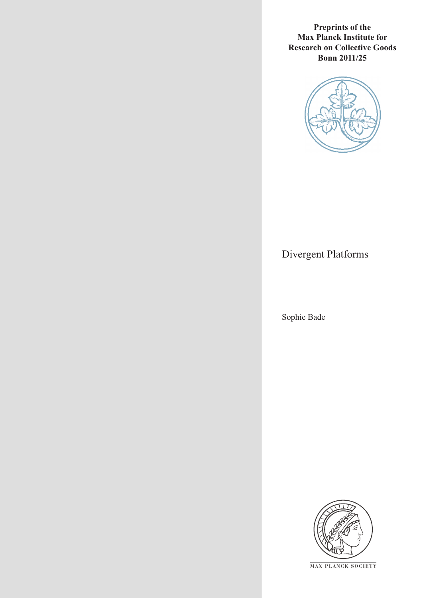**Preprints of the Max Planck Institute for Research on Collective Goods Bonn 2011/25**



# Divergent Platforms

Sophie Bade



**M AX PLANCK SOCIETY**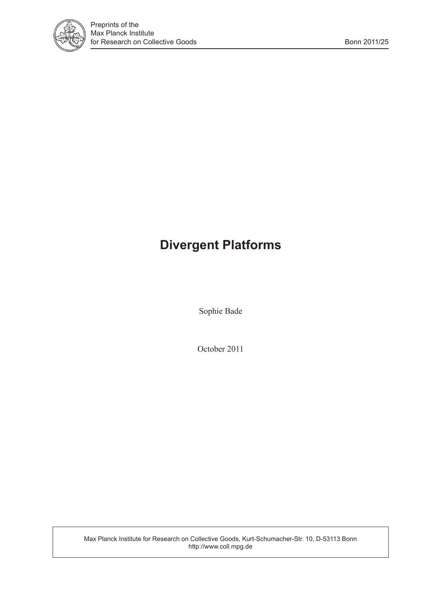

# **Divergent Platforms**

Sophie Bade

October 2011

Max Planck Institute for Research on Collective Goods, Kurt-Schumacher-Str. 10, D-53113 Bonn http://www.coll.mpg.de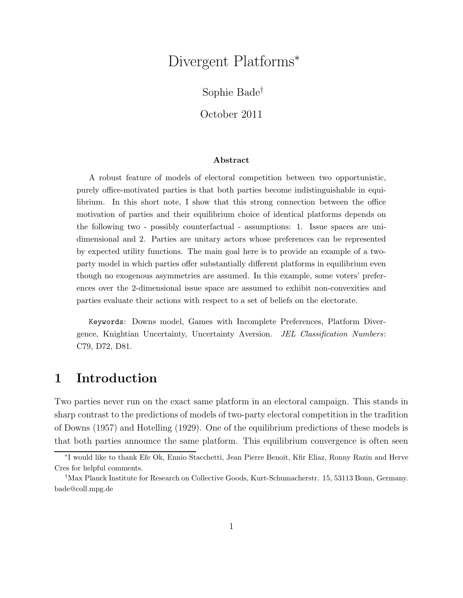# Divergent Platforms<sup>∗</sup>

Sophie Bade†

October 2011

#### Abstract

A robust feature of models of electoral competition between two opportunistic, purely office-motivated parties is that both parties become indistinguishable in equilibrium. In this short note, I show that this strong connection between the office motivation of parties and their equilibrium choice of identical platforms depends on the following two - possibly counterfactual - assumptions: 1. Issue spaces are unidimensional and 2. Parties are unitary actors whose preferences can be represented by expected utility functions. The main goal here is to provide an example of a twoparty model in which parties offer substantially different platforms in equilibrium even though no exogenous asymmetries are assumed. In this example, some voters' preferences over the 2-dimensional issue space are assumed to exhibit non-convexities and parties evaluate their actions with respect to a set of beliefs on the electorate.

Keywords: Downs model, Games with Incomplete Preferences, Platform Divergence, Knightian Uncertainty, Uncertainty Aversion. JEL Classification Numbers: C79, D72, D81.

# 1 Introduction

Two parties never run on the exact same platform in an electoral campaign. This stands in sharp contrast to the predictions of models of two-party electoral competition in the tradition of Downs (1957) and Hotelling (1929). One of the equilibrium predictions of these models is that both parties announce the same platform. This equilibrium convergence is often seen

<sup>∗</sup> I would like to thank Efe Ok, Ennio Stacchetti, Jean Pierre Benoit, Kfir Eliaz, Ronny Razin and Herve Cres for helpful comments.

<sup>†</sup>Max Planck Institute for Research on Collective Goods, Kurt-Schumacherstr. 15, 53113 Bonn, Germany. bade@coll.mpg.de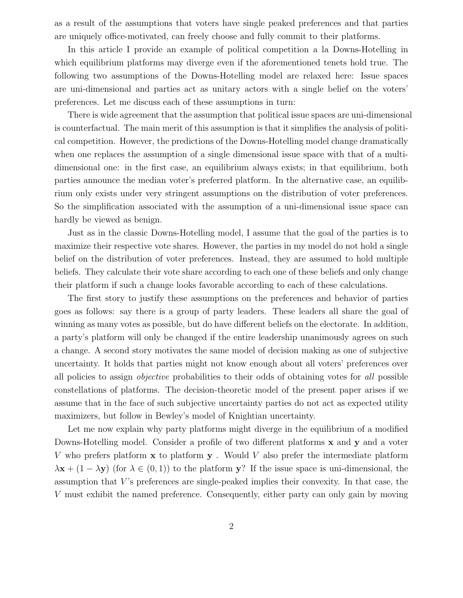as a result of the assumptions that voters have single peaked preferences and that parties are uniquely office-motivated, can freely choose and fully commit to their platforms.

In this article I provide an example of political competition a la Downs-Hotelling in which equilibrium platforms may diverge even if the aforementioned tenets hold true. The following two assumptions of the Downs-Hotelling model are relaxed here: Issue spaces are uni-dimensional and parties act as unitary actors with a single belief on the voters' preferences. Let me discuss each of these assumptions in turn:

There is wide agreement that the assumption that political issue spaces are uni-dimensional is counterfactual. The main merit of this assumption is that it simplifies the analysis of political competition. However, the predictions of the Downs-Hotelling model change dramatically when one replaces the assumption of a single dimensional issue space with that of a multidimensional one: in the first case, an equilibrium always exists; in that equilibrium, both parties announce the median voter's preferred platform. In the alternative case, an equilibrium only exists under very stringent assumptions on the distribution of voter preferences. So the simplification associated with the assumption of a uni-dimensional issue space can hardly be viewed as benign.

Just as in the classic Downs-Hotelling model, I assume that the goal of the parties is to maximize their respective vote shares. However, the parties in my model do not hold a single belief on the distribution of voter preferences. Instead, they are assumed to hold multiple beliefs. They calculate their vote share according to each one of these beliefs and only change their platform if such a change looks favorable according to each of these calculations.

The first story to justify these assumptions on the preferences and behavior of parties goes as follows: say there is a group of party leaders. These leaders all share the goal of winning as many votes as possible, but do have different beliefs on the electorate. In addition, a party's platform will only be changed if the entire leadership unanimously agrees on such a change. A second story motivates the same model of decision making as one of subjective uncertainty. It holds that parties might not know enough about all voters' preferences over all policies to assign objective probabilities to their odds of obtaining votes for all possible constellations of platforms. The decision-theoretic model of the present paper arises if we assume that in the face of such subjective uncertainty parties do not act as expected utility maximizers, but follow in Bewley's model of Knightian uncertainty.

Let me now explain why party platforms might diverge in the equilibrium of a modified Downs-Hotelling model. Consider a profile of two different platforms  $\bf{x}$  and  $\bf{y}$  and a voter V who prefers platform  $x$  to platform  $y$ . Would V also prefer the intermediate platform  $\lambda x + (1 - \lambda y)$  (for  $\lambda \in (0, 1)$ ) to the platform y? If the issue space is uni-dimensional, the assumption that V's preferences are single-peaked implies their convexity. In that case, the V must exhibit the named preference. Consequently, either party can only gain by moving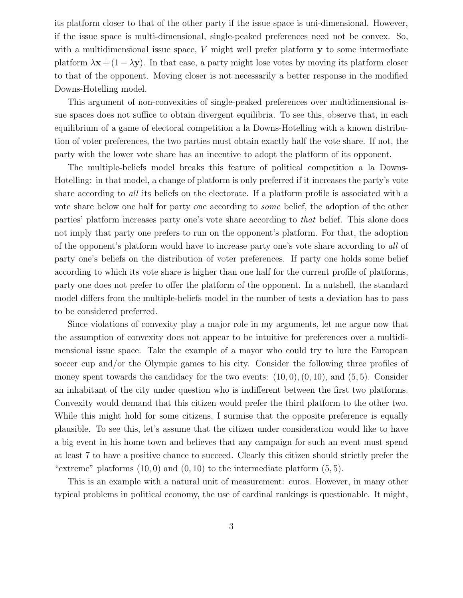its platform closer to that of the other party if the issue space is uni-dimensional. However, if the issue space is multi-dimensional, single-peaked preferences need not be convex. So, with a multidimensional issue space, V might well prefer platform y to some intermediate platform  $\lambda x + (1 - \lambda y)$ . In that case, a party might lose votes by moving its platform closer to that of the opponent. Moving closer is not necessarily a better response in the modified Downs-Hotelling model.

This argument of non-convexities of single-peaked preferences over multidimensional issue spaces does not suffice to obtain divergent equilibria. To see this, observe that, in each equilibrium of a game of electoral competition a la Downs-Hotelling with a known distribution of voter preferences, the two parties must obtain exactly half the vote share. If not, the party with the lower vote share has an incentive to adopt the platform of its opponent.

The multiple-beliefs model breaks this feature of political competition a la Downs-Hotelling: in that model, a change of platform is only preferred if it increases the party's vote share according to *all* its beliefs on the electorate. If a platform profile is associated with a vote share below one half for party one according to some belief, the adoption of the other parties' platform increases party one's vote share according to that belief. This alone does not imply that party one prefers to run on the opponent's platform. For that, the adoption of the opponent's platform would have to increase party one's vote share according to all of party one's beliefs on the distribution of voter preferences. If party one holds some belief according to which its vote share is higher than one half for the current profile of platforms, party one does not prefer to offer the platform of the opponent. In a nutshell, the standard model differs from the multiple-beliefs model in the number of tests a deviation has to pass to be considered preferred.

Since violations of convexity play a major role in my arguments, let me argue now that the assumption of convexity does not appear to be intuitive for preferences over a multidimensional issue space. Take the example of a mayor who could try to lure the European soccer cup and/or the Olympic games to his city. Consider the following three profiles of money spent towards the candidacy for the two events:  $(10, 0), (0, 10)$ , and  $(5, 5)$ . Consider an inhabitant of the city under question who is indifferent between the first two platforms. Convexity would demand that this citizen would prefer the third platform to the other two. While this might hold for some citizens, I surmise that the opposite preference is equally plausible. To see this, let's assume that the citizen under consideration would like to have a big event in his home town and believes that any campaign for such an event must spend at least 7 to have a positive chance to succeed. Clearly this citizen should strictly prefer the "extreme" platforms  $(10, 0)$  and  $(0, 10)$  to the intermediate platform  $(5, 5)$ .

This is an example with a natural unit of measurement: euros. However, in many other typical problems in political economy, the use of cardinal rankings is questionable. It might,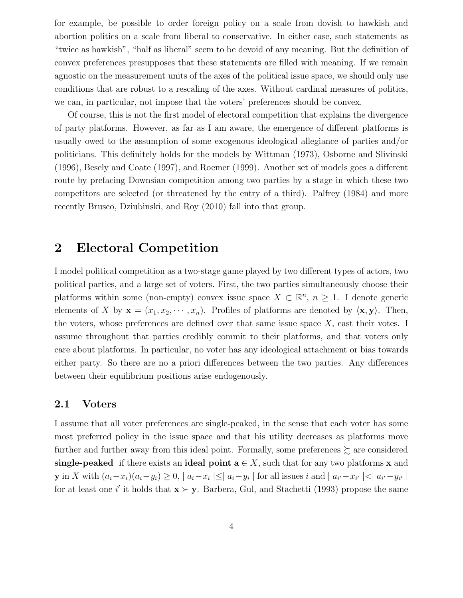for example, be possible to order foreign policy on a scale from dovish to hawkish and abortion politics on a scale from liberal to conservative. In either case, such statements as "twice as hawkish", "half as liberal" seem to be devoid of any meaning. But the definition of convex preferences presupposes that these statements are filled with meaning. If we remain agnostic on the measurement units of the axes of the political issue space, we should only use conditions that are robust to a rescaling of the axes. Without cardinal measures of politics, we can, in particular, not impose that the voters' preferences should be convex.

Of course, this is not the first model of electoral competition that explains the divergence of party platforms. However, as far as I am aware, the emergence of different platforms is usually owed to the assumption of some exogenous ideological allegiance of parties and/or politicians. This definitely holds for the models by Wittman (1973), Osborne and Slivinski (1996), Besely and Coate (1997), and Roemer (1999). Another set of models goes a different route by prefacing Downsian competition among two parties by a stage in which these two competitors are selected (or threatened by the entry of a third). Palfrey (1984) and more recently Brusco, Dziubinski, and Roy (2010) fall into that group.

# 2 Electoral Competition

I model political competition as a two-stage game played by two different types of actors, two political parties, and a large set of voters. First, the two parties simultaneously choose their platforms within some (non-empty) convex issue space  $X \subset \mathbb{R}^n$ ,  $n \geq 1$ . I denote generic elements of X by  $\mathbf{x} = (x_1, x_2, \dots, x_n)$ . Profiles of platforms are denoted by  $\langle \mathbf{x}, \mathbf{y} \rangle$ . Then, the voters, whose preferences are defined over that same issue space  $X$ , cast their votes. I assume throughout that parties credibly commit to their platforms, and that voters only care about platforms. In particular, no voter has any ideological attachment or bias towards either party. So there are no a priori differences between the two parties. Any differences between their equilibrium positions arise endogenously.

## 2.1 Voters

I assume that all voter preferences are single-peaked, in the sense that each voter has some most preferred policy in the issue space and that his utility decreases as platforms move further and further away from this ideal point. Formally, some preferences  $\succsim$  are considered single-peaked if there exists an ideal point  $a \in X$ , such that for any two platforms x and **y** in X with  $(a_i - x_i)(a_i - y_i) \ge 0$ ,  $|a_i - x_i| \le |a_i - y_i|$  for all issues i and  $|a_{i'} - x_{i'}| < |a_{i'} - y_{i'}|$ for at least one i' it holds that  $\mathbf{x} \succ \mathbf{y}$ . Barbera, Gul, and Stachetti (1993) propose the same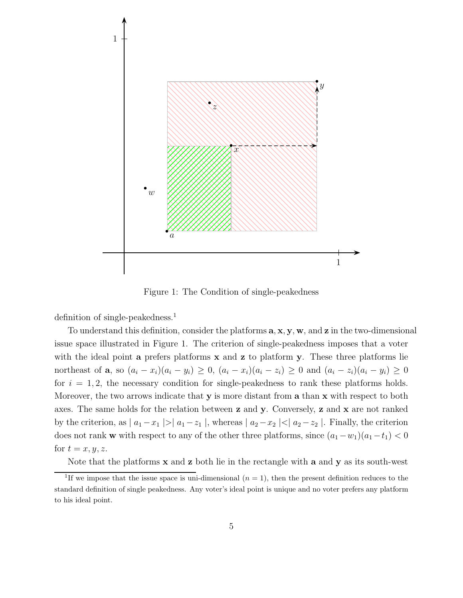

Figure 1: The Condition of single-peakedness

definition of single-peakedness.<sup>1</sup>

To understand this definition, consider the platforms  $\mathbf{a}, \mathbf{x}, \mathbf{y}, \mathbf{w}$ , and  $\mathbf{z}$  in the two-dimensional issue space illustrated in Figure 1. The criterion of single-peakedness imposes that a voter with the ideal point **a** prefers platforms  $x$  and  $z$  to platform  $y$ . These three platforms lie northeast of **a**, so  $(a_i - x_i)(a_i - y_i) \ge 0$ ,  $(a_i - x_i)(a_i - z_i) \ge 0$  and  $(a_i - z_i)(a_i - y_i) \ge 0$ for  $i = 1, 2$ , the necessary condition for single-peakedness to rank these platforms holds. Moreover, the two arrows indicate that **y** is more distant from **a** than **x** with respect to both axes. The same holds for the relation between z and y. Conversely, z and x are not ranked by the criterion, as  $|a_1 - x_1| > |a_1 - z_1|$ , whereas  $|a_2 - x_2| < |a_2 - z_2|$ . Finally, the criterion does not rank w with respect to any of the other three platforms, since  $(a_1 - w_1)(a_1 - t_1) < 0$ for  $t = x, y, z$ .

Note that the platforms  $x$  and  $z$  both lie in the rectangle with  $a$  and  $y$  as its south-west

<sup>&</sup>lt;sup>1</sup>If we impose that the issue space is uni-dimensional  $(n = 1)$ , then the present definition reduces to the standard definition of single peakedness. Any voter's ideal point is unique and no voter prefers any platform to his ideal point.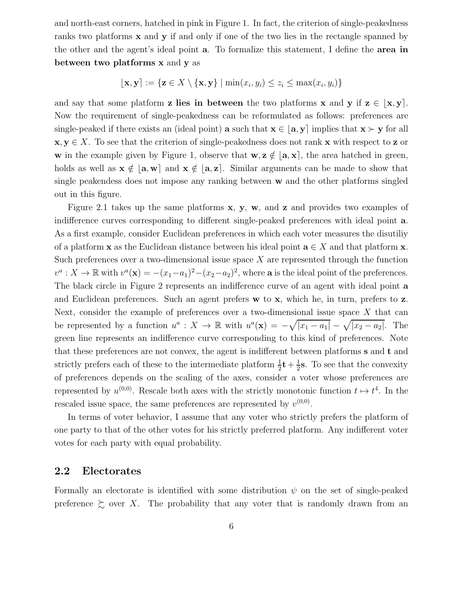and north-east corners, hatched in pink in Figure 1. In fact, the criterion of single-peakedness ranks two platforms x and y if and only if one of the two lies in the rectangle spanned by the other and the agent's ideal point a. To formalize this statement, I define the area in between two platforms x and y as

$$
[\mathbf{x}, \mathbf{y}] := {\mathbf{z} \in X \setminus {\mathbf{x}, \mathbf{y}} \mid \min(x_i, y_i) \le z_i \le \max(x_i, y_i)}
$$

and say that some platform **z** lies in between the two platforms **x** and **y** if  $z \in [x, y]$ . Now the requirement of single-peakedness can be reformulated as follows: preferences are single-peaked if there exists an (ideal point) **a** such that  $\mathbf{x} \in [\mathbf{a}, \mathbf{y}]$  implies that  $\mathbf{x} \succ \mathbf{y}$  for all  $x, y \in X$ . To see that the criterion of single-peakedness does not rank x with respect to z or w in the example given by Figure 1, observe that  $\mathbf{w}, \mathbf{z} \notin [\mathbf{a}, \mathbf{x}]$ , the area hatched in green, holds as well as  $x \notin [a, w]$  and  $x \notin [a, z]$ . Similar arguments can be made to show that single peakendess does not impose any ranking between w and the other platforms singled out in this figure.

Figure 2.1 takes up the same platforms  $x, y, w$ , and  $z$  and provides two examples of indifference curves corresponding to different single-peaked preferences with ideal point a. As a first example, consider Euclidean preferences in which each voter measures the disutiliy of a platform **x** as the Euclidean distance between his ideal point  $\mathbf{a} \in X$  and that platform **x**. Such preferences over a two-dimensional issue space  $X$  are represented through the function  $v^a: X \to \mathbb{R}$  with  $v^a(\mathbf{x}) = -(x_1-a_1)^2 - (x_2-a_2)^2$ , where **a** is the ideal point of the preferences. The black circle in Figure 2 represents an indifference curve of an agent with ideal point a and Euclidean preferences. Such an agent prefers  $\bf{w}$  to  $\bf{x}$ , which he, in turn, prefers to  $\bf{z}$ . Next, consider the example of preferences over a two-dimensional issue space  $X$  that can be represented by a function  $u^a: X \to \mathbb{R}$  with  $u^a(\mathbf{x}) = -\sqrt{|x_1 - a_1|} - \sqrt{|x_2 - a_2|}$ . The green line represents an indifference curve corresponding to this kind of preferences. Note that these preferences are not convex, the agent is indifferent between platforms s and t and strictly prefers each of these to the intermediate platform  $\frac{1}{2}\mathbf{t} + \frac{1}{2}$  $\frac{1}{2}$ s. To see that the convexity of preferences depends on the scaling of the axes, consider a voter whose preferences are represented by  $u^{(0,0)}$ . Rescale both axes with the strictly monotonic function  $t \mapsto t^4$ . In the rescaled issue space, the same preferences are represented by  $v^{(0,0)}$ .

In terms of voter behavior, I assume that any voter who strictly prefers the platform of one party to that of the other votes for his strictly preferred platform. Any indifferent voter votes for each party with equal probability.

## 2.2 Electorates

Formally an electorate is identified with some distribution  $\psi$  on the set of single-peaked preference  $\gtrsim$  over X. The probability that any voter that is randomly drawn from an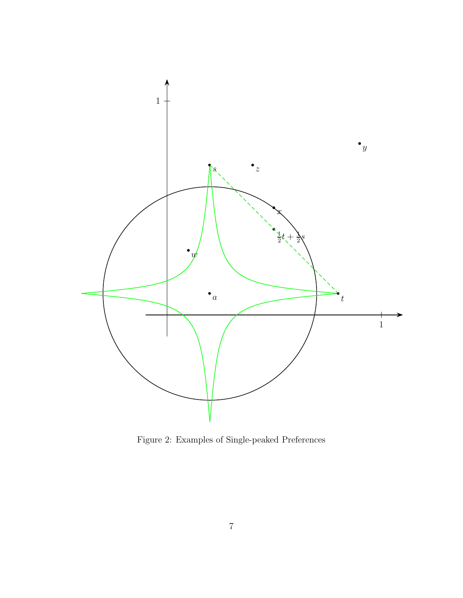

Figure 2: Examples of Single-peaked Preferences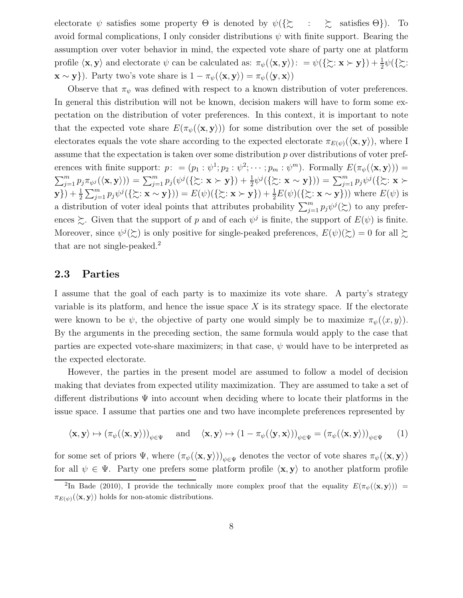electorate  $\psi$  satisfies some property  $\Theta$  is denoted by  $\psi(\{\sum : \sum : \sum$  satisfies  $\Theta\})$ . To avoid formal complications, I only consider distributions  $\psi$  with finite support. Bearing the assumption over voter behavior in mind, the expected vote share of party one at platform profile  $\langle \mathbf{x}, \mathbf{y} \rangle$  and electorate  $\psi$  can be calculated as:  $\pi_{\psi}(\langle \mathbf{x}, \mathbf{y} \rangle)$ : =  $\psi(\{\succsim : \mathbf{x} \succ \mathbf{y}\}) + \frac{1}{2}\psi(\{\succsim : \mathbf{x} \succ \mathbf{y}\})$  $\mathbf{x} \sim \mathbf{y}$ ). Party two's vote share is  $1 - \pi_{\psi}(\langle \mathbf{x}, \mathbf{y} \rangle) = \pi_{\psi}(\langle \mathbf{y}, \mathbf{x} \rangle)$ 

Observe that  $\pi_{\psi}$  was defined with respect to a known distribution of voter preferences. In general this distribution will not be known, decision makers will have to form some expectation on the distribution of voter preferences. In this context, it is important to note that the expected vote share  $E(\pi_{\psi}(\langle \mathbf{x}, \mathbf{y} \rangle))$  for some distribution over the set of possible electorates equals the vote share according to the expected electorate  $\pi_{E(\psi)}(\langle \mathbf{x}, \mathbf{y} \rangle)$ , where I assume that the expectation is taken over some distribution  $p$  over distributions of voter preferences with finite support:  $p:=(p_1:\psi^1;p_2:\psi^2;\cdots;p_m:\psi^m)$ . Formally  $E(\pi_{\psi}(\langle \mathbf{x}, \mathbf{y} \rangle))=$  $\sum_{j=1}^m p_j \pi_{\psi^j}(\langle \mathbf{x}, \mathbf{y} \rangle) = \sum_{j=1}^m p_j(\psi^j(\{\succsim : \mathbf{x} \succ \mathbf{y}\}) + \frac{1}{2}\psi^j(\{\succsim : \mathbf{x} \sim \mathbf{y}\})) = \sum_{j=1}^m p_j \psi^j(\{\succsim : \mathbf{x} \succ \mathbf{y}\})$  $\mathbf{y}(\mathbf{x}) + \frac{1}{2} \sum_{j=1}^{m} p_j \psi^j(\{\mathbf{x} : \mathbf{x} \sim \mathbf{y}\}) = E(\psi)(\{\mathbf{x} : \mathbf{x} \succ \mathbf{y}\}) + \frac{1}{2} E(\psi)(\{\mathbf{x} : \mathbf{x} \sim \mathbf{y}\}))$  where  $E(\psi)$  is a distribution of voter ideal points that attributes probability  $\sum_{j=1}^{m} p_j \psi^j(\gtrsim)$  to any preferences  $\succsim$ . Given that the support of p and of each  $\psi^j$  is finite, the support of  $E(\psi)$  is finite. Moreover, since  $\psi^j(\gtrsim)$  is only positive for single-peaked preferences,  $E(\psi)(\gtrsim) = 0$  for all  $\gtrsim$ that are not single-peaked.<sup>2</sup>

### 2.3 Parties

I assume that the goal of each party is to maximize its vote share. A party's strategy variable is its platform, and hence the issue space  $X$  is its strategy space. If the electorate were known to be  $\psi$ , the objective of party one would simply be to maximize  $\pi_{\psi}(\langle x, y \rangle)$ . By the arguments in the preceding section, the same formula would apply to the case that parties are expected vote-share maximizers; in that case,  $\psi$  would have to be interpreted as the expected electorate.

However, the parties in the present model are assumed to follow a model of decision making that deviates from expected utility maximization. They are assumed to take a set of different distributions Ψ into account when deciding where to locate their platforms in the issue space. I assume that parties one and two have incomplete preferences represented by

$$
\langle \mathbf{x}, \mathbf{y} \rangle \mapsto (\pi_{\psi}(\langle \mathbf{x}, \mathbf{y} \rangle))_{\psi \in \Psi} \quad \text{and} \quad \langle \mathbf{x}, \mathbf{y} \rangle \mapsto (1 - \pi_{\psi}(\langle \mathbf{y}, \mathbf{x} \rangle))_{\psi \in \Psi} = (\pi_{\psi}(\langle \mathbf{x}, \mathbf{y} \rangle))_{\psi \in \Psi} \tag{1}
$$

for some set of priors  $\Psi$ , where  $(\pi_{\psi}(\langle x, y \rangle))_{\psi \in \Psi}$  denotes the vector of vote shares  $\pi_{\psi}(\langle x, y \rangle)$ for all  $\psi \in \Psi$ . Party one prefers some platform profile  $\langle x, y \rangle$  to another platform profile

<sup>&</sup>lt;sup>2</sup>In Bade (2010), I provide the technically more complex proof that the equality  $E(\pi_{\psi}(\langle \mathbf{x}, \mathbf{y} \rangle))$  =  $\pi_{E(\psi)}(\langle \mathbf{x}, \mathbf{y} \rangle)$  holds for non-atomic distributions.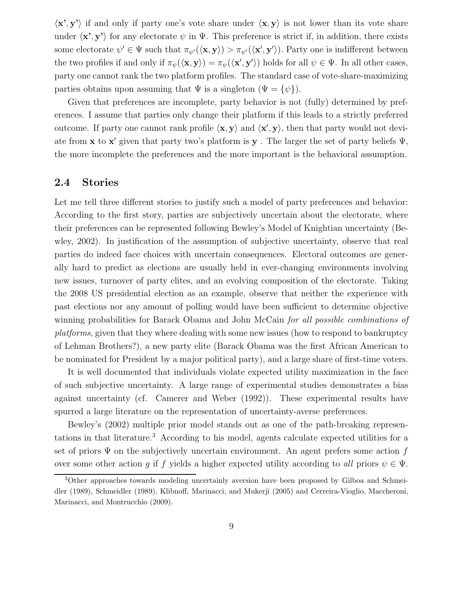$\langle x', y' \rangle$  if and only if party one's vote share under  $\langle x, y \rangle$  is not lower than its vote share under  $\langle x', y' \rangle$  for any electorate  $\psi$  in Ψ. This preference is strict if, in addition, there exists some electorate  $\psi' \in \Psi$  such that  $\pi_{\psi'}(\langle \mathbf{x}, \mathbf{y} \rangle) > \pi_{\psi'}(\langle \mathbf{x}', \mathbf{y}' \rangle)$ . Party one is indifferent between the two profiles if and only if  $\pi_{\psi}(\langle \mathbf{x}, \mathbf{y} \rangle) = \pi_{\psi}(\langle \mathbf{x}', \mathbf{y}' \rangle)$  holds for all  $\psi \in \Psi$ . In all other cases, party one cannot rank the two platform profiles. The standard case of vote-share-maximizing parties obtains upon assuming that  $\Psi$  is a singleton  $(\Psi = {\psi})$ .

Given that preferences are incomplete, party behavior is not (fully) determined by preferences. I assume that parties only change their platform if this leads to a strictly preferred outcome. If party one cannot rank profile  $\langle x, y \rangle$  and  $\langle x', y \rangle$ , then that party would not deviate from **x** to **x'** given that party two's platform is **y**. The larger the set of party beliefs  $\Psi$ , the more incomplete the preferences and the more important is the behavioral assumption.

### 2.4 Stories

Let me tell three different stories to justify such a model of party preferences and behavior: According to the first story, parties are subjectively uncertain about the electorate, where their preferences can be represented following Bewley's Model of Knightian uncertainty (Bewley, 2002). In justification of the assumption of subjective uncertainty, observe that real parties do indeed face choices with uncertain consequences. Electoral outcomes are generally hard to predict as elections are usually held in ever-changing environments involving new issues, turnover of party elites, and an evolving composition of the electorate. Taking the 2008 US presidential election as an example, observe that neither the experience with past elections nor any amount of polling would have been sufficient to determine objective winning probabilities for Barack Obama and John McCain for all possible combinations of platforms, given that they where dealing with some new issues (how to respond to bankruptcy of Lehman Brothers?), a new party elite (Barack Obama was the first African American to be nominated for President by a major political party), and a large share of first-time voters.

It is well documented that individuals violate expected utility maximization in the face of such subjective uncertainty. A large range of experimental studies demonstrates a bias against uncertainty (cf. Camerer and Weber (1992)). These experimental results have spurred a large literature on the representation of uncertainty-averse preferences.

Bewley's (2002) multiple prior model stands out as one of the path-breaking representations in that literature.<sup>3</sup> According to his model, agents calculate expected utilities for a set of priors  $\Psi$  on the subjectively uncertain environment. An agent prefers some action f over some other action g if f yields a higher expected utility according to all priors  $\psi \in \Psi$ .

<sup>3</sup>Other approaches towards modeling uncertainly aversion have been proposed by Gilboa and Schmeidler (1989), Schmeidler (1989), Klibnoff, Marinacci, and Mukerji (2005) and Cerreira-Vioglio, Maccheroni, Marinacci, and Montrucchio (2009).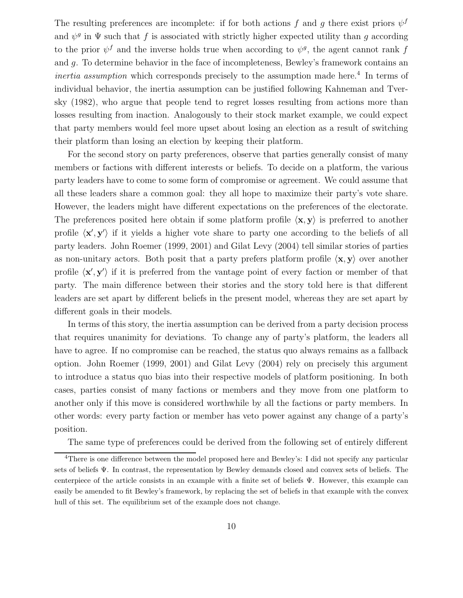The resulting preferences are incomplete: if for both actions f and g there exist priors  $\psi^f$ and  $\psi^g$  in  $\Psi$  such that f is associated with strictly higher expected utility than g according to the prior  $\psi^f$  and the inverse holds true when according to  $\psi^g$ , the agent cannot rank f and g. To determine behavior in the face of incompleteness, Bewley's framework contains an *inertia assumption* which corresponds precisely to the assumption made here.<sup>4</sup> In terms of individual behavior, the inertia assumption can be justified following Kahneman and Tversky (1982), who argue that people tend to regret losses resulting from actions more than losses resulting from inaction. Analogously to their stock market example, we could expect that party members would feel more upset about losing an election as a result of switching their platform than losing an election by keeping their platform.

For the second story on party preferences, observe that parties generally consist of many members or factions with different interests or beliefs. To decide on a platform, the various party leaders have to come to some form of compromise or agreement. We could assume that all these leaders share a common goal: they all hope to maximize their party's vote share. However, the leaders might have different expectations on the preferences of the electorate. The preferences posited here obtain if some platform profile  $\langle x, y \rangle$  is preferred to another profile  $\langle x', y' \rangle$  if it yields a higher vote share to party one according to the beliefs of all party leaders. John Roemer (1999, 2001) and Gilat Levy (2004) tell similar stories of parties as non-unitary actors. Both posit that a party prefers platform profile  $\langle x, y \rangle$  over another profile  $\langle \mathbf{x}', \mathbf{y}' \rangle$  if it is preferred from the vantage point of every faction or member of that party. The main difference between their stories and the story told here is that different leaders are set apart by different beliefs in the present model, whereas they are set apart by different goals in their models.

In terms of this story, the inertia assumption can be derived from a party decision process that requires unanimity for deviations. To change any of party's platform, the leaders all have to agree. If no compromise can be reached, the status quo always remains as a fallback option. John Roemer (1999, 2001) and Gilat Levy (2004) rely on precisely this argument to introduce a status quo bias into their respective models of platform positioning. In both cases, parties consist of many factions or members and they move from one platform to another only if this move is considered worthwhile by all the factions or party members. In other words: every party faction or member has veto power against any change of a party's position.

The same type of preferences could be derived from the following set of entirely different

<sup>&</sup>lt;sup>4</sup>There is one difference between the model proposed here and Bewley's: I did not specify any particular sets of beliefs Ψ. In contrast, the representation by Bewley demands closed and convex sets of beliefs. The centerpiece of the article consists in an example with a finite set of beliefs Ψ. However, this example can easily be amended to fit Bewley's framework, by replacing the set of beliefs in that example with the convex hull of this set. The equilibrium set of the example does not change.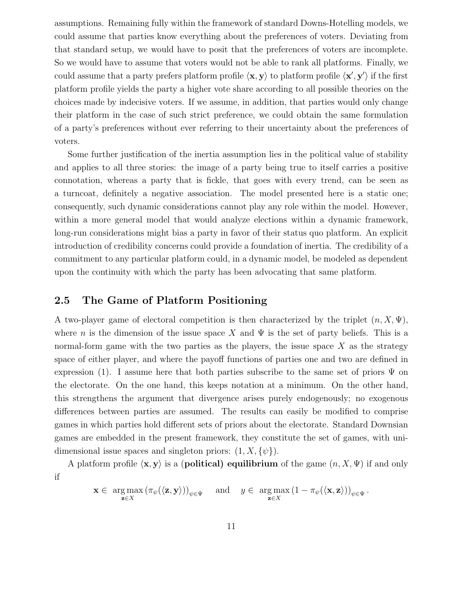assumptions. Remaining fully within the framework of standard Downs-Hotelling models, we could assume that parties know everything about the preferences of voters. Deviating from that standard setup, we would have to posit that the preferences of voters are incomplete. So we would have to assume that voters would not be able to rank all platforms. Finally, we could assume that a party prefers platform profile  $\langle \mathbf{x}, \mathbf{y} \rangle$  to platform profile  $\langle \mathbf{x}', \mathbf{y}' \rangle$  if the first platform profile yields the party a higher vote share according to all possible theories on the choices made by indecisive voters. If we assume, in addition, that parties would only change their platform in the case of such strict preference, we could obtain the same formulation of a party's preferences without ever referring to their uncertainty about the preferences of voters.

Some further justification of the inertia assumption lies in the political value of stability and applies to all three stories: the image of a party being true to itself carries a positive connotation, whereas a party that is fickle, that goes with every trend, can be seen as a turncoat, definitely a negative association. The model presented here is a static one; consequently, such dynamic considerations cannot play any role within the model. However, within a more general model that would analyze elections within a dynamic framework, long-run considerations might bias a party in favor of their status quo platform. An explicit introduction of credibility concerns could provide a foundation of inertia. The credibility of a commitment to any particular platform could, in a dynamic model, be modeled as dependent upon the continuity with which the party has been advocating that same platform.

## 2.5 The Game of Platform Positioning

A two-player game of electoral competition is then characterized by the triplet  $(n, X, \Psi)$ , where n is the dimension of the issue space X and  $\Psi$  is the set of party beliefs. This is a normal-form game with the two parties as the players, the issue space  $X$  as the strategy space of either player, and where the payoff functions of parties one and two are defined in expression (1). I assume here that both parties subscribe to the same set of priors  $\Psi$  on the electorate. On the one hand, this keeps notation at a minimum. On the other hand, this strengthens the argument that divergence arises purely endogenously; no exogenous differences between parties are assumed. The results can easily be modified to comprise games in which parties hold different sets of priors about the electorate. Standard Downsian games are embedded in the present framework, they constitute the set of games, with unidimensional issue spaces and singleton priors:  $(1, X, \{\psi\})$ .

A platform profile  $\langle x, y \rangle$  is a (**political) equilibrium** of the game  $(n, X, \Psi)$  if and only if

$$
\mathbf{x} \in \argmax_{\mathbf{z} \in X} (\pi_{\psi}(\langle \mathbf{z}, \mathbf{y} \rangle))_{\psi \in \Psi} \quad \text{and} \quad y \in \argmax_{\mathbf{z} \in X} (1 - \pi_{\psi}(\langle \mathbf{x}, \mathbf{z} \rangle))_{\psi \in \Psi}.
$$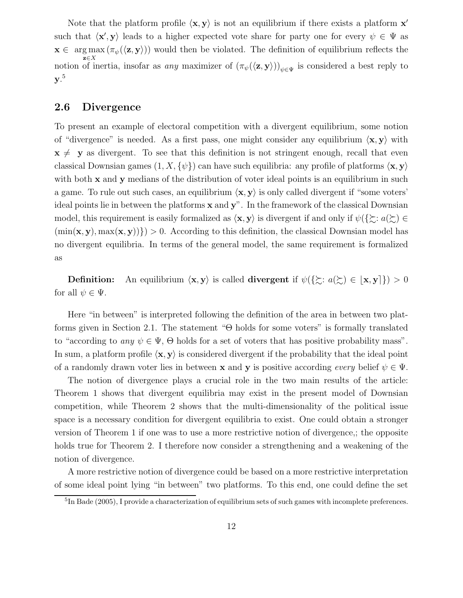Note that the platform profile  $\langle x, y \rangle$  is not an equilibrium if there exists a platform  $x'$ such that  $\langle x', y \rangle$  leads to a higher expected vote share for party one for every  $\psi \in \Psi$  as  $\mathbf{x} \in \arg \max_{\mathbf{z} \in X} (\pi_{\psi}(\langle \mathbf{z}, \mathbf{y} \rangle))$  would then be violated. The definition of equilibrium reflects the notion of inertia, insofar as *any* maximizer of  $(\pi_{\psi}(\langle \mathbf{z}, \mathbf{y} \rangle))_{\psi \in \Psi}$  is considered a best reply to  $\mathbf{y}.^5$ 

### 2.6 Divergence

To present an example of electoral competition with a divergent equilibrium, some notion of "divergence" is needed. As a first pass, one might consider any equilibrium  $\langle x, y \rangle$  with  $x \neq y$  as divergent. To see that this definition is not stringent enough, recall that even classical Downsian games  $(1, X, \{\psi\})$  can have such equilibria: any profile of platforms  $\langle x, y \rangle$ with both  $x$  and  $y$  medians of the distribution of voter ideal points is an equilibrium in such a game. To rule out such cases, an equilibrium  $\langle \mathbf{x}, \mathbf{y} \rangle$  is only called divergent if "some voters" ideal points lie in between the platforms  $x$  and  $y$ ". In the framework of the classical Downsian model, this requirement is easily formalized as  $\langle \mathbf{x}, \mathbf{y} \rangle$  is divergent if and only if  $\psi(\{\succsim : a(\succsim) \in$  $(\min(\mathbf{x}, \mathbf{y}), \max(\mathbf{x}, \mathbf{y}))\}) > 0.$  According to this definition, the classical Downsian model has no divergent equilibria. In terms of the general model, the same requirement is formalized as

**Definition:** An equilibrium  $\langle \mathbf{x}, \mathbf{y} \rangle$  is called **divergent** if  $\psi(\{\succsim : a(\succsim) \in [\mathbf{x}, \mathbf{y}]\}) > 0$ for all  $\psi \in \Psi$ .

Here "in between" is interpreted following the definition of the area in between two platforms given in Section 2.1. The statement "Θ holds for some voters" is formally translated to "according to any  $\psi \in \Psi$ ,  $\Theta$  holds for a set of voters that has positive probability mass". In sum, a platform profile  $\langle x, y \rangle$  is considered divergent if the probability that the ideal point of a randomly drawn voter lies in between **x** and **y** is positive according every belief  $\psi \in \Psi$ .

The notion of divergence plays a crucial role in the two main results of the article: Theorem 1 shows that divergent equilibria may exist in the present model of Downsian competition, while Theorem 2 shows that the multi-dimensionality of the political issue space is a necessary condition for divergent equilibria to exist. One could obtain a stronger version of Theorem 1 if one was to use a more restrictive notion of divergence,; the opposite holds true for Theorem 2. I therefore now consider a strengthening and a weakening of the notion of divergence.

A more restrictive notion of divergence could be based on a more restrictive interpretation of some ideal point lying "in between" two platforms. To this end, one could define the set

<sup>&</sup>lt;sup>5</sup>In Bade (2005), I provide a characterization of equilibrium sets of such games with incomplete preferences.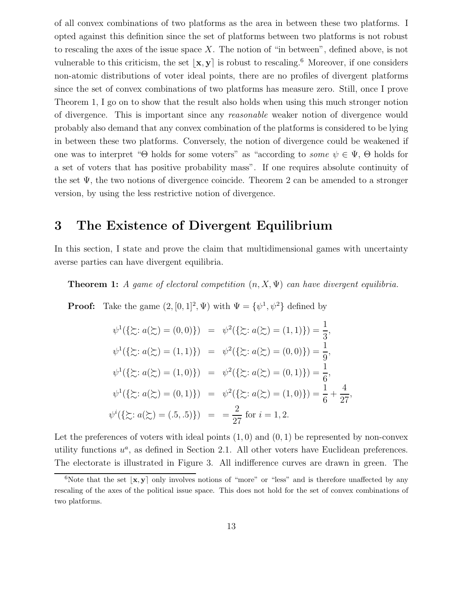of all convex combinations of two platforms as the area in between these two platforms. I opted against this definition since the set of platforms between two platforms is not robust to rescaling the axes of the issue space  $X$ . The notion of "in between", defined above, is not vulnerable to this criticism, the set  $\mathbf{x}, \mathbf{y}$  is robust to rescaling.<sup>6</sup> Moreover, if one considers non-atomic distributions of voter ideal points, there are no profiles of divergent platforms since the set of convex combinations of two platforms has measure zero. Still, once I prove Theorem 1, I go on to show that the result also holds when using this much stronger notion of divergence. This is important since any reasonable weaker notion of divergence would probably also demand that any convex combination of the platforms is considered to be lying in between these two platforms. Conversely, the notion of divergence could be weakened if one was to interpret "Θ holds for some voters" as "according to some  $\psi \in \Psi$ , Θ holds for a set of voters that has positive probability mass". If one requires absolute continuity of the set  $\Psi$ , the two notions of divergence coincide. Theorem 2 can be amended to a stronger version, by using the less restrictive notion of divergence.

## 3 The Existence of Divergent Equilibrium

In this section, I state and prove the claim that multidimensional games with uncertainty averse parties can have divergent equilibria.

**Theorem 1:** A game of electoral competition  $(n, X, \Psi)$  can have divergent equilibria.

**Proof:** Take the game  $(2, [0, 1]^2, \Psi)$  with  $\Psi = {\psi^1, \psi^2}$  defined by

$$
\psi^1(\{\succsim: a(\succsim) = (0,0)\}) = \psi^2(\{\succsim: a(\succsim) = (1,1)\}) = \frac{1}{3},
$$
  

$$
\psi^1(\{\succsim: a(\succsim) = (1,1)\}) = \psi^2(\{\succsim: a(\succsim) = (0,0)\}) = \frac{1}{9},
$$
  

$$
\psi^1(\{\succsim: a(\succsim) = (1,0)\}) = \psi^2(\{\succsim: a(\succsim) = (0,1)\}) = \frac{1}{6},
$$
  

$$
\psi^1(\{\succsim: a(\succsim) = (0,1)\}) = \psi^2(\{\succsim: a(\succsim) = (1,0)\}) = \frac{1}{6} + \frac{4}{27}
$$
  

$$
\psi^i(\{\succsim: a(\succsim) = (.5, .5)\}) = \frac{2}{27} \text{ for } i = 1,2.
$$

,

Let the preferences of voters with ideal points  $(1, 0)$  and  $(0, 1)$  be represented by non-convex utility functions  $u^a$ , as defined in Section 2.1. All other voters have Euclidean preferences. The electorate is illustrated in Figure 3. All indifference curves are drawn in green. The

<sup>&</sup>lt;sup>6</sup>Note that the set  $\mathbf{x}, \mathbf{y}$  only involves notions of "more" or "less" and is therefore unaffected by any rescaling of the axes of the political issue space. This does not hold for the set of convex combinations of two platforms.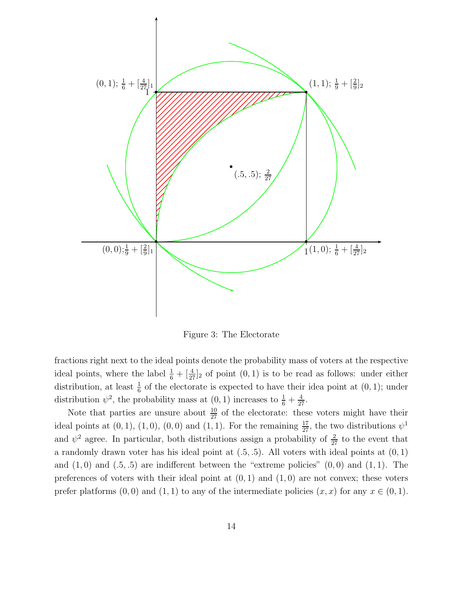

Figure 3: The Electorate

fractions right next to the ideal points denote the probability mass of voters at the respective ideal points, where the label  $\frac{1}{6} + \left[\frac{4}{27}\right]_2$  of point  $(0, 1)$  is to be read as follows: under either distribution, at least  $\frac{1}{6}$  of the electorate is expected to have their idea point at  $(0, 1)$ ; under distribution  $\psi^2$ , the probability mass at  $(0, 1)$  increases to  $\frac{1}{6} + \frac{4}{27}$ .

Note that parties are unsure about  $\frac{10}{27}$  of the electorate: these voters might have their ideal points at  $(0, 1)$ ,  $(1, 0)$ ,  $(0, 0)$  and  $(1, 1)$ . For the remaining  $\frac{17}{27}$ , the two distributions  $\psi^1$ and  $\psi^2$  agree. In particular, both distributions assign a probability of  $\frac{2}{27}$  to the event that a randomly drawn voter has his ideal point at  $(.5, .5)$ . All voters with ideal points at  $(0, 1)$ and  $(1,0)$  and  $(0.5, 0.5)$  are indifferent between the "extreme policies"  $(0,0)$  and  $(1,1)$ . The preferences of voters with their ideal point at  $(0, 1)$  and  $(1, 0)$  are not convex; these voters prefer platforms  $(0, 0)$  and  $(1, 1)$  to any of the intermediate policies  $(x, x)$  for any  $x \in (0, 1)$ .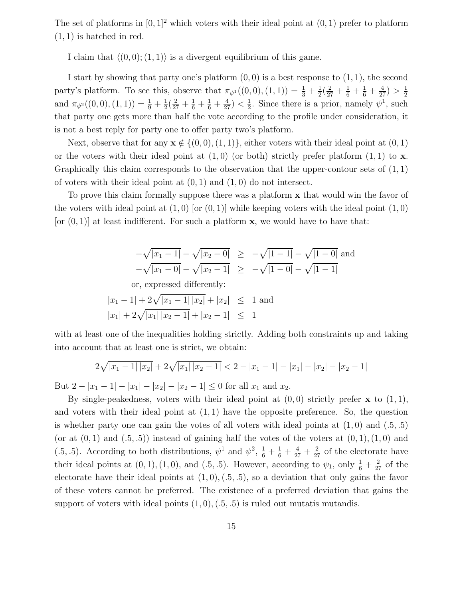The set of platforms in  $[0, 1]^2$  which voters with their ideal point at  $(0, 1)$  prefer to platform  $(1, 1)$  is hatched in red.

I claim that  $\langle (0, 0); (1, 1) \rangle$  is a divergent equilibrium of this game.

I start by showing that party one's platform  $(0, 0)$  is a best response to  $(1, 1)$ , the second party's platform. To see this, observe that  $\pi_{\psi^1}((0,0),(1,1)) = \frac{1}{3} + \frac{1}{2}$  $\frac{1}{2}(\frac{2}{27}+\frac{1}{6}+\frac{1}{6}+\frac{4}{27}) > \frac{1}{2}$ 2 and  $\pi_{\psi^2}((0,0),(1,1)) = \frac{1}{9} + \frac{1}{2}$  $\frac{1}{2}(\frac{2}{27}+\frac{1}{6}+\frac{1}{6}+\frac{4}{27}) < \frac{1}{2}$  $\frac{1}{2}$ . Since there is a prior, namely  $\psi^1$ , such that party one gets more than half the vote according to the profile under consideration, it is not a best reply for party one to offer party two's platform.

Next, observe that for any  $\mathbf{x} \notin \{(0,0), (1,1)\}\)$ , either voters with their ideal point at  $(0,1)$ or the voters with their ideal point at  $(1,0)$  (or both) strictly prefer platform  $(1,1)$  to x. Graphically this claim corresponds to the observation that the upper-contour sets of  $(1,1)$ of voters with their ideal point at  $(0, 1)$  and  $(1, 0)$  do not intersect.

To prove this claim formally suppose there was a platform x that would win the favor of the voters with ideal point at  $(1,0)$  [or  $(0,1)$ ] while keeping voters with the ideal point  $(1,0)$ [or  $(0, 1)$ ] at least indifferent. For such a platform **x**, we would have to have that:

$$
-\sqrt{|x_1 - 1|} - \sqrt{|x_2 - 0|} \ge -\sqrt{|1 - 1|} - \sqrt{|1 - 0|}
$$
and  

$$
-\sqrt{|x_1 - 0|} - \sqrt{|x_2 - 1|} \ge -\sqrt{|1 - 0|} - \sqrt{|1 - 1|}
$$
  
or, expressed differently:  

$$
|x_1 - 1| + 2\sqrt{|x_1 - 1| |x_2|} + |x_2| \le 1
$$
and  

$$
|x_1| + 2\sqrt{|x_1| |x_2 - 1|} + |x_2 - 1| \le 1
$$

with at least one of the inequalities holding strictly. Adding both constraints up and taking into account that at least one is strict, we obtain:

$$
2\sqrt{|x_1-1| |x_2|} + 2\sqrt{|x_1| |x_2-1|} < 2 - |x_1-1| - |x_1| - |x_2| - |x_2-1|
$$

But  $2-|x_1-1| - |x_1| - |x_2| - |x_2-1| \leq 0$  for all  $x_1$  and  $x_2$ .

By single-peakedness, voters with their ideal point at  $(0, 0)$  strictly prefer x to  $(1, 1)$ , and voters with their ideal point at  $(1, 1)$  have the opposite preference. So, the question is whether party one can gain the votes of all voters with ideal points at  $(1,0)$  and  $(0.5,0.5)$ (or at  $(0, 1)$  and  $(0.5, 0.5)$ ) instead of gaining half the votes of the voters at  $(0, 1), (1, 0)$  and (.5, .5). According to both distributions,  $\psi^1$  and  $\psi^2$ ,  $\frac{1}{6} + \frac{1}{6} + \frac{4}{27} + \frac{2}{27}$  of the electorate have their ideal points at  $(0, 1), (1, 0)$ , and  $(.5, .5)$ . However, according to  $\psi_1$ , only  $\frac{1}{6} + \frac{2}{27}$  of the electorate have their ideal points at  $(1, 0), (0.5, 0.5)$ , so a deviation that only gains the favor of these voters cannot be preferred. The existence of a preferred deviation that gains the support of voters with ideal points  $(1, 0)$ ,  $(0.5, 0.5)$  is ruled out mutatis mutandis.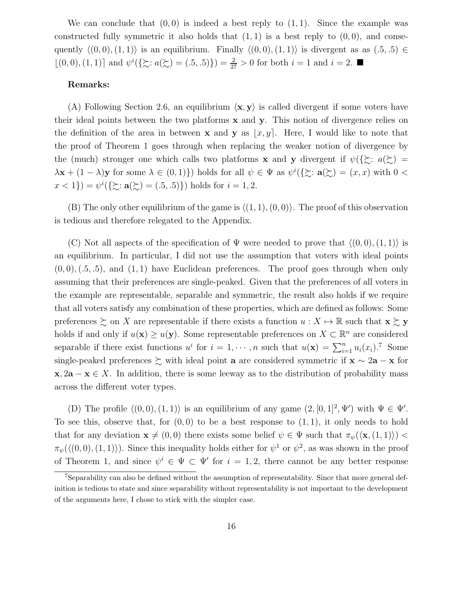We can conclude that  $(0, 0)$  is indeed a best reply to  $(1, 1)$ . Since the example was constructed fully symmetric it also holds that  $(1, 1)$  is a best reply to  $(0, 0)$ , and consequently  $\langle (0, 0), (1, 1) \rangle$  is an equilibrium. Finally  $\langle (0, 0), (1, 1) \rangle$  is divergent as as  $(.5, .5) \in$  $[(0,0), (1, 1)]$  and  $\psi^{i}(\{\succeq : a(\succeq) = (.5, .5)\}) = \frac{2}{27} > 0$  for both  $i = 1$  and  $i = 2$ .

#### Remarks:

(A) Following Section 2.6, an equilibrium  $\langle x, y \rangle$  is called divergent if some voters have their ideal points between the two platforms x and y. This notion of divergence relies on the definition of the area in between **x** and **y** as  $\langle x, y \rangle$ . Here, I would like to note that the proof of Theorem 1 goes through when replacing the weaker notion of divergence by the (much) stronger one which calls two platforms **x** and **y** divergent if  $\psi(\{\succcurlyeq: a(\succcurlyeq) =$  $\lambda \mathbf{x} + (1 - \lambda) \mathbf{y}$  for some  $\lambda \in (0, 1)$  holds for all  $\psi \in \Psi$  as  $\psi^i(\{\succsim : \mathbf{a}(\succsim) = (x, x) \text{ with } 0$  $x < 1$ }) =  $\psi^{i}(\{\succsim : \mathbf{a}(\succsim) = (.5, .5)\})$  holds for  $i = 1, 2$ .

(B) The only other equilibrium of the game is  $\langle (1, 1), (0, 0) \rangle$ . The proof of this observation is tedious and therefore relegated to the Appendix.

(C) Not all aspects of the specification of  $\Psi$  were needed to prove that  $\langle (0, 0), (1, 1) \rangle$  is an equilibrium. In particular, I did not use the assumption that voters with ideal points  $(0, 0), (0.5, 0.5),$  and  $(1, 1)$  have Euclidean preferences. The proof goes through when only assuming that their preferences are single-peaked. Given that the preferences of all voters in the example are representable, separable and symmetric, the result also holds if we require that all voters satisfy any combination of these properties, which are defined as follows: Some preferences  $\succsim$  on X are representable if there exists a function  $u : X \mapsto \mathbb{R}$  such that  $x \succsim y$ holds if and only if  $u(\mathbf{x}) \geq u(\mathbf{y})$ . Some representable preferences on  $X \subset \mathbb{R}^n$  are considered separable if there exist functions  $u^i$  for  $i = 1, \dots, n$  such that  $u(\mathbf{x}) = \sum_{i=1}^n u_i(x_i)$ .<sup>7</sup> Some single-peaked preferences  $\succsim$  with ideal point **a** are considered symmetric if  $\mathbf{x} \sim 2\mathbf{a} - \mathbf{x}$  for  $x, 2a - x \in X$ . In addition, there is some leeway as to the distribution of probability mass across the different voter types.

(D) The profile  $\langle (0, 0), (1, 1) \rangle$  is an equilibrium of any game  $(2, [0, 1]^2, \Psi')$  with  $\Psi \in \Psi'$ . To see this, observe that, for  $(0,0)$  to be a best response to  $(1,1)$ , it only needs to hold that for any deviation  $\mathbf{x} \neq (0, 0)$  there exists some belief  $\psi \in \Psi$  such that  $\pi_{\psi}(\langle \mathbf{x},(1,1) \rangle)$  $\pi_{\psi}(\langle (0,0), (1,1) \rangle)$ . Since this inequality holds either for  $\psi^1$  or  $\psi^2$ , as was shown in the proof of Theorem 1, and since  $\psi^i \in \Psi \subset \Psi'$  for  $i = 1, 2$ , there cannot be any better response

<sup>7</sup>Separability can also be defined without the assumption of representability. Since that more general definition is tedious to state and since separability without representability is not important to the development of the arguments here, I chose to stick with the simpler case.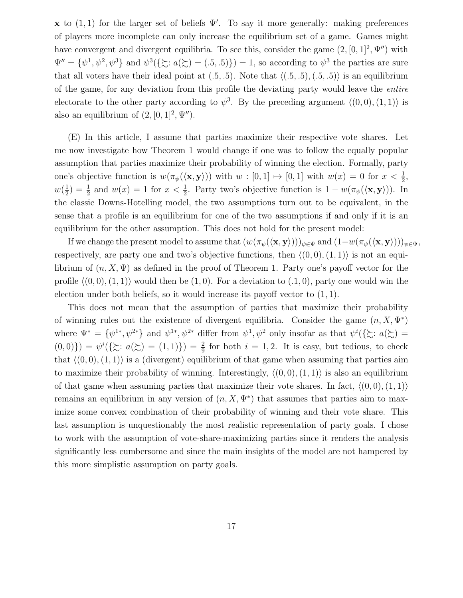x to  $(1, 1)$  for the larger set of beliefs  $\Psi'$ . To say it more generally: making preferences of players more incomplete can only increase the equilibrium set of a game. Games might have convergent and divergent equilibria. To see this, consider the game  $(2, [0, 1]^2, \Psi'')$  with  $\Psi'' = {\psi^1, \psi^2, \psi^3}$  and  $\psi^3({\xi : a(\xi) = (.5, .5)}) = 1$ , so according to  $\psi^3$  the parties are sure that all voters have their ideal point at  $(.5, .5)$ . Note that  $\langle (.5, .5), (.5, .5) \rangle$  is an equilibrium of the game, for any deviation from this profile the deviating party would leave the entire electorate to the other party according to  $\psi^3$ . By the preceding argument  $\langle (0, 0), (1, 1) \rangle$  is also an equilibrium of  $(2, [0, 1]^2, \Psi'')$ .

(E) In this article, I assume that parties maximize their respective vote shares. Let me now investigate how Theorem 1 would change if one was to follow the equally popular assumption that parties maximize their probability of winning the election. Formally, party one's objective function is  $w(\pi_{\psi}(\langle \mathbf{x}, \mathbf{y} \rangle))$  with  $w : [0, 1] \mapsto [0, 1]$  with  $w(x) = 0$  for  $x < \frac{1}{2}$ ,  $w\left(\frac{1}{2}\right)$  $\frac{1}{2}$ ) =  $\frac{1}{2}$  and  $w(x) = 1$  for  $x < \frac{1}{2}$ . Party two's objective function is  $1 - w(\pi_{\psi}(\langle \mathbf{x}, \mathbf{y} \rangle))$ . In the classic Downs-Hotelling model, the two assumptions turn out to be equivalent, in the sense that a profile is an equilibrium for one of the two assumptions if and only if it is an equilibrium for the other assumption. This does not hold for the present model:

If we change the present model to assume that  $(w(\pi_{\psi}(\langle \mathbf{x}, \mathbf{y} \rangle)))_{\psi \in \Psi}$  and  $(1-w(\pi_{\psi}(\langle \mathbf{x}, \mathbf{y} \rangle)))_{\psi \in \Psi}$ , respectively, are party one and two's objective functions, then  $\langle (0, 0), (1, 1) \rangle$  is not an equilibrium of  $(n, X, \Psi)$  as defined in the proof of Theorem 1. Party one's payoff vector for the profile  $\langle (0, 0), (1, 1) \rangle$  would then be  $(1, 0)$ . For a deviation to  $(0, 0)$ , party one would win the election under both beliefs, so it would increase its payoff vector to (1, 1).

This does not mean that the assumption of parties that maximize their probability of winning rules out the existence of divergent equilibria. Consider the game  $(n, X, \Psi^*)$ where  $\Psi^* = {\psi^{1*}, \psi^{2*}}$  and  $\psi^{1*}, \psi^{2*}$  differ from  $\psi^1, \psi^2$  only insofar as that  $\psi^i(\{\gtrsim : a(\gtrsim) =$  $(0,0)$ }) =  $\psi^i(\{\succsim: a(\succsim) = (1,1)\}) = \frac{2}{9}$  for both  $i = 1,2$ . It is easy, but tedious, to check that  $\langle (0, 0), (1, 1) \rangle$  is a (divergent) equilibrium of that game when assuming that parties aim to maximize their probability of winning. Interestingly,  $\langle (0, 0), (1, 1) \rangle$  is also an equilibrium of that game when assuming parties that maximize their vote shares. In fact,  $\langle (0, 0), (1, 1) \rangle$ remains an equilibrium in any version of  $(n, X, \Psi^*)$  that assumes that parties aim to maximize some convex combination of their probability of winning and their vote share. This last assumption is unquestionably the most realistic representation of party goals. I chose to work with the assumption of vote-share-maximizing parties since it renders the analysis significantly less cumbersome and since the main insights of the model are not hampered by this more simplistic assumption on party goals.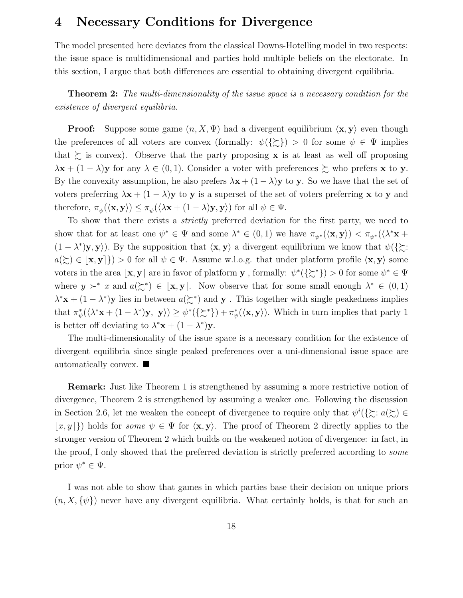# 4 Necessary Conditions for Divergence

The model presented here deviates from the classical Downs-Hotelling model in two respects: the issue space is multidimensional and parties hold multiple beliefs on the electorate. In this section, I argue that both differences are essential to obtaining divergent equilibria.

**Theorem 2:** The multi-dimensionality of the issue space is a necessary condition for the existence of divergent equilibria.

**Proof:** Suppose some game  $(n, X, \Psi)$  had a divergent equilibrium  $\langle x, y \rangle$  even though the preferences of all voters are convex (formally:  $\psi(\{\gtrsim\}) > 0$  for some  $\psi \in \Psi$  implies that  $\gtrsim$  is convex). Observe that the party proposing **x** is at least as well off proposing  $\lambda$ **x** + (1 –  $\lambda$ )**y** for any  $\lambda \in (0,1)$ . Consider a voter with preferences  $\succeq$  who prefers **x** to **y**. By the convexity assumption, he also prefers  $\lambda x + (1 - \lambda)y$  to y. So we have that the set of voters preferring  $\lambda x + (1 - \lambda)y$  to y is a superset of the set of voters preferring x to y and therefore,  $\pi_{\psi}(\langle \mathbf{x}, \mathbf{y} \rangle) \leq \pi_{\psi}(\langle \lambda \mathbf{x} + (1 - \lambda) \mathbf{y}, \mathbf{y} \rangle)$  for all  $\psi \in \Psi$ .

To show that there exists a *strictly* preferred deviation for the first party, we need to show that for at least one  $\psi^* \in \Psi$  and some  $\lambda^* \in (0,1)$  we have  $\pi_{\psi^*}(\langle \mathbf{x}, \mathbf{y} \rangle) < \pi_{\psi^*}(\langle \lambda^* \mathbf{x} + \mathbf{y} \rangle)$  $(1 - \lambda^*)\mathbf{y}, \mathbf{y}\rangle$ ). By the supposition that  $\langle \mathbf{x}, \mathbf{y} \rangle$  a divergent equilibrium we know that  $\psi(\{\mathbf{x}\})$ :  $a(\succsim) \in [\mathbf{x}, \mathbf{y}]$ ) > 0 for all  $\psi \in \Psi$ . Assume w.l.o.g. that under platform profile  $\langle \mathbf{x}, \mathbf{y} \rangle$  some voters in the area  $\lfloor x, y \rceil$  are in favor of platform  $y$ , formally:  $\psi^*(\{\succsim^*\}) > 0$  for some  $\psi^* \in \Psi$ where  $y \succ^* x$  and  $a(\succsim^*) \in [\mathbf{x}, \mathbf{y}]$ . Now observe that for some small enough  $\lambda^* \in (0, 1)$  $\lambda^*$ **x** +  $(1 - \lambda^*)$ **y** lies in between  $a(\succsim^*)$  and **y**. This together with single peakedness implies that  $\pi^*_{\psi}$  $\psi^*(\langle \lambda^* \mathbf{x} + (1 - \lambda^*) \mathbf{y}, \mathbf{y} \rangle) \geq \psi^*(\{\succsim^*\}) + \pi^*$  $\psi^*(\langle \mathbf{x}, \mathbf{y} \rangle)$ . Which in turn implies that party 1 is better off deviating to  $\lambda^* \mathbf{x} + (1 - \lambda^*) \mathbf{y}$ .

The multi-dimensionality of the issue space is a necessary condition for the existence of divergent equilibria since single peaked preferences over a uni-dimensional issue space are automatically convex.

Remark: Just like Theorem 1 is strengthened by assuming a more restrictive notion of divergence, Theorem 2 is strengthened by assuming a weaker one. Following the discussion in Section 2.6, let me weaken the concept of divergence to require only that  $\psi^i(\{\gtrsim : a(\gtrsim) \in$  $|x, y\rangle$ ) holds for some  $\psi \in \Psi$  for  $\langle x, y \rangle$ . The proof of Theorem 2 directly applies to the stronger version of Theorem 2 which builds on the weakened notion of divergence: in fact, in the proof, I only showed that the preferred deviation is strictly preferred according to some prior  $\psi^* \in \Psi$ .

I was not able to show that games in which parties base their decision on unique priors  $(n, X, \{\psi\})$  never have any divergent equilibria. What certainly holds, is that for such an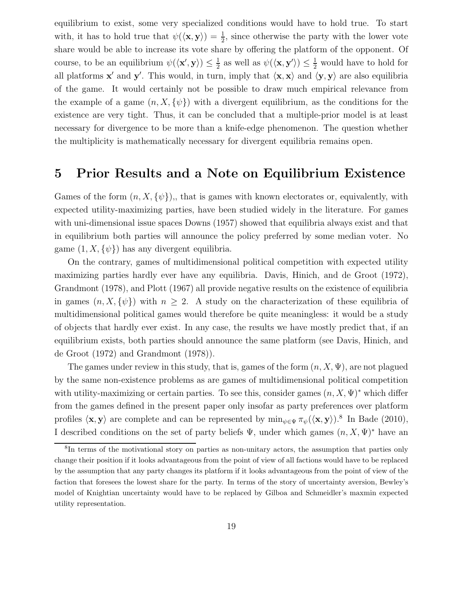equilibrium to exist, some very specialized conditions would have to hold true. To start with, it has to hold true that  $\psi(\langle \mathbf{x}, \mathbf{y} \rangle) = \frac{1}{2}$ , since otherwise the party with the lower vote share would be able to increase its vote share by offering the platform of the opponent. Of course, to be an equilibrium  $\psi(\langle \mathbf{x}', \mathbf{y} \rangle) \le \frac{1}{2}$  $\frac{1}{2}$  as well as  $\psi(\langle \mathbf{x}, \mathbf{y}' \rangle) \leq \frac{1}{2}$  would have to hold for all platforms  $x'$  and  $y'$ . This would, in turn, imply that  $\langle x, x \rangle$  and  $\langle y, y \rangle$  are also equilibria of the game. It would certainly not be possible to draw much empirical relevance from the example of a game  $(n, X, \{\psi\})$  with a divergent equilibrium, as the conditions for the existence are very tight. Thus, it can be concluded that a multiple-prior model is at least necessary for divergence to be more than a knife-edge phenomenon. The question whether the multiplicity is mathematically necessary for divergent equilibria remains open.

## 5 Prior Results and a Note on Equilibrium Existence

Games of the form  $(n, X, \{\psi\})$ ,, that is games with known electorates or, equivalently, with expected utility-maximizing parties, have been studied widely in the literature. For games with uni-dimensional issue spaces Downs (1957) showed that equilibria always exist and that in equilibrium both parties will announce the policy preferred by some median voter. No game  $(1, X, \{\psi\})$  has any divergent equilibria.

On the contrary, games of multidimensional political competition with expected utility maximizing parties hardly ever have any equilibria. Davis, Hinich, and de Groot (1972), Grandmont (1978), and Plott (1967) all provide negative results on the existence of equilibria in games  $(n, X, \{\psi\})$  with  $n \geq 2$ . A study on the characterization of these equilibria of multidimensional political games would therefore be quite meaningless: it would be a study of objects that hardly ever exist. In any case, the results we have mostly predict that, if an equilibrium exists, both parties should announce the same platform (see Davis, Hinich, and de Groot (1972) and Grandmont (1978)).

The games under review in this study, that is, games of the form  $(n, X, \Psi)$ , are not plagued by the same non-existence problems as are games of multidimensional political competition with utility-maximizing or certain parties. To see this, consider games  $(n, X, \Psi)^*$  which differ from the games defined in the present paper only insofar as party preferences over platform profiles  $\langle \mathbf{x}, \mathbf{y} \rangle$  are complete and can be represented by  $\min_{\psi \in \Psi} \pi_{\psi}(\langle \mathbf{x}, \mathbf{y} \rangle)$ .<sup>8</sup> In Bade (2010), I described conditions on the set of party beliefs  $\Psi$ , under which games  $(n, X, \Psi)^*$  have an

<sup>8</sup> In terms of the motivational story on parties as non-unitary actors, the assumption that parties only change their position if it looks advantageous from the point of view of all factions would have to be replaced by the assumption that any party changes its platform if it looks advantageous from the point of view of the faction that foresees the lowest share for the party. In terms of the story of uncertainty aversion, Bewley's model of Knightian uncertainty would have to be replaced by Gilboa and Schmeidler's maxmin expected utility representation.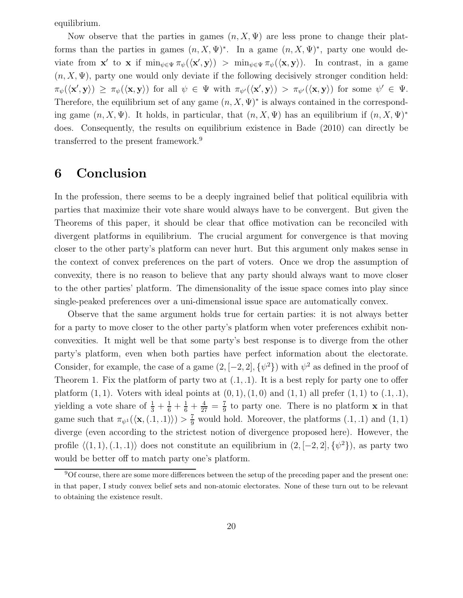equilibrium.

Now observe that the parties in games  $(n, X, \Psi)$  are less prone to change their platforms than the parties in games  $(n, X, \Psi)^*$ . In a game  $(n, X, \Psi)^*$ , party one would deviate from **x'** to **x** if  $\min_{\psi \in \Psi} \pi_{\psi}(\langle \mathbf{x}', \mathbf{y} \rangle) > \min_{\psi \in \Psi} \pi_{\psi}(\langle \mathbf{x}, \mathbf{y} \rangle)$ . In contrast, in a game  $(n, X, \Psi)$ , party one would only deviate if the following decisively stronger condition held:  $\pi_{\psi}(\langle \mathbf{x}, \mathbf{y} \rangle) \geq \pi_{\psi}(\langle \mathbf{x}, \mathbf{y} \rangle)$  for all  $\psi \in \Psi$  with  $\pi_{\psi}(\langle \mathbf{x}, \mathbf{y} \rangle) > \pi_{\psi}(\langle \mathbf{x}, \mathbf{y} \rangle)$  for some  $\psi' \in \Psi$ . Therefore, the equilibrium set of any game  $(n, X, \Psi)^*$  is always contained in the corresponding game  $(n, X, \Psi)$ . It holds, in particular, that  $(n, X, \Psi)$  has an equilibrium if  $(n, X, \Psi)^*$ does. Consequently, the results on equilibrium existence in Bade (2010) can directly be transferred to the present framework.<sup>9</sup>

# 6 Conclusion

In the profession, there seems to be a deeply ingrained belief that political equilibria with parties that maximize their vote share would always have to be convergent. But given the Theorems of this paper, it should be clear that office motivation can be reconciled with divergent platforms in equilibrium. The crucial argument for convergence is that moving closer to the other party's platform can never hurt. But this argument only makes sense in the context of convex preferences on the part of voters. Once we drop the assumption of convexity, there is no reason to believe that any party should always want to move closer to the other parties' platform. The dimensionality of the issue space comes into play since single-peaked preferences over a uni-dimensional issue space are automatically convex.

Observe that the same argument holds true for certain parties: it is not always better for a party to move closer to the other party's platform when voter preferences exhibit nonconvexities. It might well be that some party's best response is to diverge from the other party's platform, even when both parties have perfect information about the electorate. Consider, for example, the case of a game  $(2, [-2, 2], {\psi^2})$  with  $\psi^2$  as defined in the proof of Theorem 1. Fix the platform of party two at  $(0.1, 0.1)$ . It is a best reply for party one to offer platform  $(1, 1)$ . Voters with ideal points at  $(0, 1), (1, 0)$  and  $(1, 1)$  all prefer  $(1, 1)$  to  $(0.1, 0.1)$ , yielding a vote share of  $\frac{1}{3} + \frac{1}{6} + \frac{1}{6} + \frac{4}{27} = \frac{7}{9}$  $\frac{7}{9}$  to party one. There is no platform **x** in that game such that  $\pi_{\psi}(\langle \mathbf{x},(0.1,0)\rangle) > \frac{7}{9}$  would hold. Moreover, the platforms  $(0.1, 0.1)$  and  $(1, 1)$ diverge (even according to the strictest notion of divergence proposed here). However, the profile  $\langle (1, 1), (0.1, 0.1) \rangle$  does not constitute an equilibrium in  $(2, [-2, 2], {\psi^2})$ , as party two would be better off to match party one's platform.

 $9^9$ Of course, there are some more differences between the setup of the preceding paper and the present one: in that paper, I study convex belief sets and non-atomic electorates. None of these turn out to be relevant to obtaining the existence result.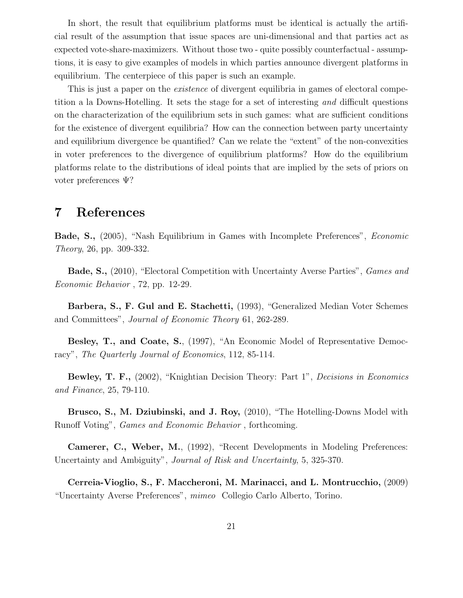In short, the result that equilibrium platforms must be identical is actually the artificial result of the assumption that issue spaces are uni-dimensional and that parties act as expected vote-share-maximizers. Without those two - quite possibly counterfactual - assumptions, it is easy to give examples of models in which parties announce divergent platforms in equilibrium. The centerpiece of this paper is such an example.

This is just a paper on the *existence* of divergent equilibria in games of electoral competition a la Downs-Hotelling. It sets the stage for a set of interesting and difficult questions on the characterization of the equilibrium sets in such games: what are sufficient conditions for the existence of divergent equilibria? How can the connection between party uncertainty and equilibrium divergence be quantified? Can we relate the "extent" of the non-convexities in voter preferences to the divergence of equilibrium platforms? How do the equilibrium platforms relate to the distributions of ideal points that are implied by the sets of priors on voter preferences Ψ?

## 7 References

Bade, S., (2005), "Nash Equilibrium in Games with Incomplete Preferences", Economic Theory, 26, pp. 309-332.

Bade, S., (2010), "Electoral Competition with Uncertainty Averse Parties", Games and Economic Behavior , 72, pp. 12-29.

Barbera, S., F. Gul and E. Stachetti, (1993), "Generalized Median Voter Schemes and Committees", Journal of Economic Theory 61, 262-289.

Besley, T., and Coate, S., (1997), "An Economic Model of Representative Democracy", The Quarterly Journal of Economics, 112, 85-114.

Bewley, T. F., (2002), "Knightian Decision Theory: Part 1", Decisions in Economics and Finance, 25, 79-110.

Brusco, S., M. Dziubinski, and J. Roy, (2010), "The Hotelling-Downs Model with Runoff Voting", Games and Economic Behavior , forthcoming.

Camerer, C., Weber, M., (1992), "Recent Developments in Modeling Preferences: Uncertainty and Ambiguity", Journal of Risk and Uncertainty, 5, 325-370.

Cerreia-Vioglio, S., F. Maccheroni, M. Marinacci, and L. Montrucchio, (2009) "Uncertainty Averse Preferences", mimeo Collegio Carlo Alberto, Torino.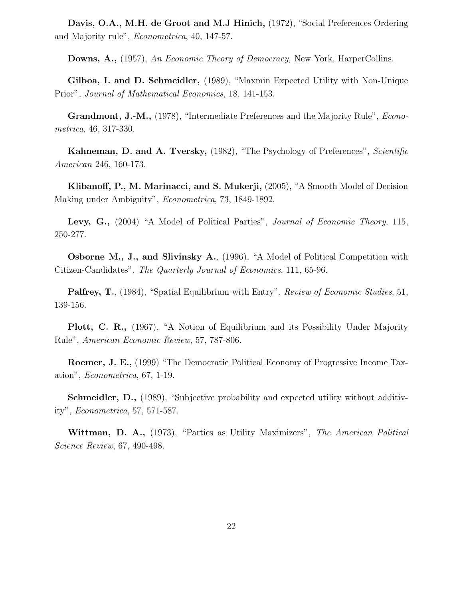Davis, O.A., M.H. de Groot and M.J Hinich, (1972), "Social Preferences Ordering and Majority rule", Econometrica, 40, 147-57.

Downs, A., (1957), An Economic Theory of Democracy, New York, HarperCollins.

Gilboa, I. and D. Schmeidler, (1989), "Maxmin Expected Utility with Non-Unique Prior", Journal of Mathematical Economics, 18, 141-153.

Grandmont, J.-M., (1978), "Intermediate Preferences and the Majority Rule", *Econo*metrica, 46, 317-330.

Kahneman, D. and A. Tversky, (1982), "The Psychology of Preferences", Scientific American 246, 160-173.

Klibanoff, P., M. Marinacci, and S. Mukerji, (2005), "A Smooth Model of Decision Making under Ambiguity", Econometrica, 73, 1849-1892.

Levy, G., (2004) "A Model of Political Parties", *Journal of Economic Theory*, 115, 250-277.

**Osborne M., J., and Slivinsky A.**,  $(1996)$ , "A Model of Political Competition with Citizen-Candidates", The Quarterly Journal of Economics, 111, 65-96.

**Palfrey, T.**, (1984), "Spatial Equilibrium with Entry", Review of Economic Studies, 51, 139-156.

Plott, C. R., (1967), "A Notion of Equilibrium and its Possibility Under Majority Rule", American Economic Review, 57, 787-806.

Roemer, J. E., (1999) "The Democratic Political Economy of Progressive Income Taxation", Econometrica, 67, 1-19.

Schmeidler, D., (1989), "Subjective probability and expected utility without additivity", Econometrica, 57, 571-587.

Wittman, D. A., (1973), "Parties as Utility Maximizers", The American Political Science Review, 67, 490-498.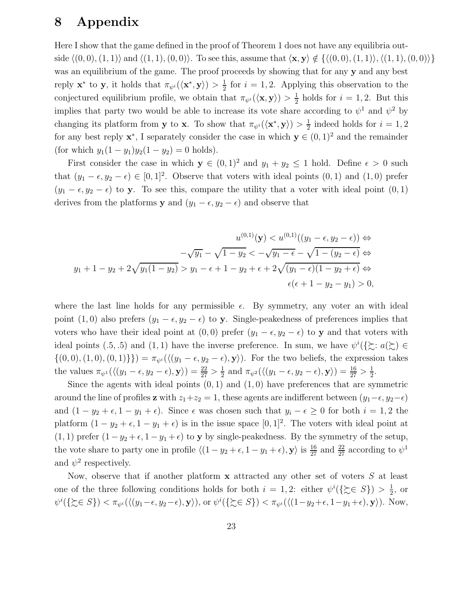# 8 Appendix

Here I show that the game defined in the proof of Theorem 1 does not have any equilibria outside  $\langle (0, 0), (1, 1) \rangle$  and  $\langle (1, 1), (0, 0) \rangle$ . To see this, assume that  $\langle x, y \rangle \notin \{ \langle (0, 0), (1, 1) \rangle, \langle (1, 1), (0, 0) \rangle \}$ was an equilibrium of the game. The proof proceeds by showing that for any **y** and any best reply  $\mathbf{x}^*$  to  $\mathbf{y}$ , it holds that  $\pi_{\psi^i}(\langle \mathbf{x}^*, \mathbf{y} \rangle) > \frac{1}{2}$  $\frac{1}{2}$  for  $i = 1, 2$ . Applying this observation to the conjectured equilibrium profile, we obtain that  $\pi_{\psi^i}(\langle \mathbf{x}, \mathbf{y} \rangle) > \frac{1}{2}$  $\frac{1}{2}$  holds for  $i = 1, 2$ . But this implies that party two would be able to increase its vote share according to  $\psi^1$  and  $\psi^2$  by changing its platform from **y** to **x**. To show that  $\pi_{\psi}(\langle \mathbf{x}^*, \mathbf{y} \rangle) > \frac{1}{2}$  $\frac{1}{2}$  indeed holds for  $i = 1, 2$ for any best reply  $\mathbf{x}^*$ , I separately consider the case in which  $\mathbf{y} \in (0,1)^2$  and the remainder (for which  $y_1(1 - y_1)y_2(1 - y_2) = 0$  holds).

First consider the case in which  $y \in (0,1)^2$  and  $y_1 + y_2 \le 1$  hold. Define  $\epsilon > 0$  such that  $(y_1 - \epsilon, y_2 - \epsilon) \in [0, 1]^2$ . Observe that voters with ideal points  $(0, 1)$  and  $(1, 0)$  prefer  $(y_1 - \epsilon, y_2 - \epsilon)$  to y. To see this, compare the utility that a voter with ideal point  $(0, 1)$ derives from the platforms y and  $(y_1 - \epsilon, y_2 - \epsilon)$  and observe that

$$
u^{(0,1)}(\mathbf{y}) < u^{(0,1)}((y_1 - \epsilon, y_2 - \epsilon)) \Leftrightarrow
$$
\n
$$
-\sqrt{y_1} - \sqrt{1 - y_2} < -\sqrt{y_1 - \epsilon} - \sqrt{1 - (y_2 - \epsilon)} \Leftrightarrow
$$
\n
$$
y_1 + 1 - y_2 + 2\sqrt{y_1(1 - y_2)} > y_1 - \epsilon + 1 - y_2 + \epsilon + 2\sqrt{(y_1 - \epsilon)(1 - y_2 + \epsilon)} \Leftrightarrow
$$
\n
$$
\epsilon(\epsilon + 1 - y_2 - y_1) > 0,
$$

where the last line holds for any permissible  $\epsilon$ . By symmetry, any voter an with ideal point (1,0) also prefers  $(y_1 - \epsilon, y_2 - \epsilon)$  to y. Single-peakedness of preferences implies that voters who have their ideal point at  $(0, 0)$  prefer  $(y_1 - \epsilon, y_2 - \epsilon)$  to y and that voters with ideal points (.5, .5) and (1, 1) have the inverse preference. In sum, we have  $\psi^{i}(\{\gtrsim : a(\gtrsim) \in$  $\{(0,0),(1,0),(0,1)\}\) = \pi_{\psi^i}(\langle (y_1 - \epsilon, y_2 - \epsilon), \mathbf{y} \rangle)$ . For the two beliefs, the expression takes the values  $\pi_{\psi^1}(\langle (y_1 - \epsilon, y_2 - \epsilon), \mathbf{y} \rangle) = \frac{22}{27} > \frac{1}{2}$  $\frac{1}{2}$  and  $\pi_{\psi^2}(\langle (y_1 - \epsilon, y_2 - \epsilon), \mathbf{y} \rangle) = \frac{16}{27} > \frac{1}{2}$  $\frac{1}{2}$ .

Since the agents with ideal points  $(0, 1)$  and  $(1, 0)$  have preferences that are symmetric around the line of profiles **z** with  $z_1+z_2 = 1$ , these agents are indifferent between  $(y_1-\epsilon, y_2-\epsilon)$ and  $(1 - y_2 + \epsilon, 1 - y_1 + \epsilon)$ . Since  $\epsilon$  was chosen such that  $y_i - \epsilon \geq 0$  for both  $i = 1, 2$  the platform  $(1 - y_2 + \epsilon, 1 - y_1 + \epsilon)$  is in the issue space  $[0, 1]^2$ . The voters with ideal point at (1, 1) prefer  $(1 - y_2 + \epsilon, 1 - y_1 + \epsilon)$  to y by single-peakedness. By the symmetry of the setup, the vote share to party one in profile  $\langle (1 - y_2 + \epsilon, 1 - y_1 + \epsilon), \mathbf{y} \rangle$  is  $\frac{16}{27}$  and  $\frac{22}{27}$  according to  $\psi^1$ and  $\psi^2$  respectively.

Now, observe that if another platform  $x$  attracted any other set of voters  $S$  at least one of the three following conditions holds for both  $i = 1, 2$ : either  $\psi^i(\{\zeta \in S\}) > \frac{1}{2}$  $\frac{1}{2}$ , or  $\psi^i(\{\zeta \in S\}) < \pi_{\psi^i}(\langle (y_1-\epsilon, y_2-\epsilon), \mathbf{y} \rangle), \text{ or } \psi^i(\{\zeta \in S\}) < \pi_{\psi^i}(\langle (1-y_2+\epsilon, 1-y_1+\epsilon), \mathbf{y} \rangle).$  Now,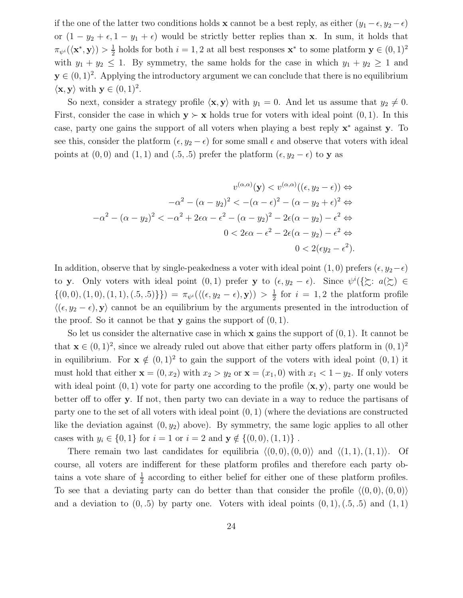if the one of the latter two conditions holds x cannot be a best reply, as either  $(y_1 - \epsilon, y_2 - \epsilon)$ or  $(1 - y_2 + \epsilon, 1 - y_1 + \epsilon)$  would be strictly better replies than x. In sum, it holds that  $\pi_{\psi^i}(\langle \mathbf{x}^*, \mathbf{y}\rangle) > \frac{1}{2}$ <sup>1</sup>/<sub>2</sub> holds for both *i* = 1, 2 at all best responses **x**<sup>\*</sup> to some platform **y** ∈  $(0, 1)$ <sup>2</sup> with  $y_1 + y_2 \le 1$ . By symmetry, the same holds for the case in which  $y_1 + y_2 \ge 1$  and  $y \in (0, 1)^2$ . Applying the introductory argument we can conclude that there is no equilibrium  $\langle \mathbf{x}, \mathbf{y} \rangle$  with  $\mathbf{y} \in (0, 1)^2$ .

So next, consider a strategy profile  $\langle x, y \rangle$  with  $y_1 = 0$ . And let us assume that  $y_2 \neq 0$ . First, consider the case in which  $y \succ x$  holds true for voters with ideal point  $(0, 1)$ . In this case, party one gains the support of all voters when playing a best reply **x**<sup>\*</sup> against **y**. To see this, consider the platform  $(\epsilon, y_2 - \epsilon)$  for some small  $\epsilon$  and observe that voters with ideal points at  $(0, 0)$  and  $(1, 1)$  and  $(.5, .5)$  prefer the platform  $(\epsilon, y_2 - \epsilon)$  to y as

$$
v^{(\alpha,\alpha)}(\mathbf{y}) < v^{(\alpha,\alpha)}((\epsilon, y_2 - \epsilon)) \Leftrightarrow
$$
\n
$$
-\alpha^2 - (\alpha - y_2)^2 < -(\alpha - \epsilon)^2 - (\alpha - y_2 + \epsilon)^2 \Leftrightarrow
$$
\n
$$
-\alpha^2 - (\alpha - y_2)^2 < -\alpha^2 + 2\epsilon\alpha - \epsilon^2 - (\alpha - y_2)^2 - 2\epsilon(\alpha - y_2) - \epsilon^2 \Leftrightarrow
$$
\n
$$
0 < 2\epsilon\alpha - \epsilon^2 - 2\epsilon(\alpha - y_2) - \epsilon^2 \Leftrightarrow
$$
\n
$$
0 < 2(\epsilon y_2 - \epsilon^2).
$$

In addition, observe that by single-peakedness a voter with ideal point  $(1, 0)$  prefers  $(\epsilon, y_2-\epsilon)$ to y. Only voters with ideal point  $(0,1)$  prefer y to  $(\epsilon, y_2 - \epsilon)$ . Since  $\psi^i(\{\zeta : a(\zeta) \in$  $\{(0,0), (1,0), (1, 1), (0.5, 0.5)\}\) = \pi_{\psi^i}(\langle (\epsilon, y_2 - \epsilon), \mathbf{y} \rangle) > \frac{1}{2}$  $\frac{1}{2}$  for  $i = 1, 2$  the platform profile  $\langle (\epsilon, y_2 - \epsilon), y \rangle$  cannot be an equilibrium by the arguments presented in the introduction of the proof. So it cannot be that **y** gains the support of  $(0, 1)$ .

So let us consider the alternative case in which  $x$  gains the support of  $(0, 1)$ . It cannot be that  $\mathbf{x} \in (0, 1)^2$ , since we already ruled out above that either party offers platform in  $(0, 1)^2$ in equilibrium. For  $\mathbf{x} \notin (0, 1)^2$  to gain the support of the voters with ideal point  $(0, 1)$  it must hold that either  $\mathbf{x} = (0, x_2)$  with  $x_2 > y_2$  or  $\mathbf{x} = (x_1, 0)$  with  $x_1 < 1 - y_2$ . If only voters with ideal point  $(0, 1)$  vote for party one according to the profile  $\langle x, y \rangle$ , party one would be better off to offer y. If not, then party two can deviate in a way to reduce the partisans of party one to the set of all voters with ideal point  $(0, 1)$  (where the deviations are constructed like the deviation against  $(0, y_2)$  above). By symmetry, the same logic applies to all other cases with  $y_i \in \{0, 1\}$  for  $i = 1$  or  $i = 2$  and  $y \notin \{(0, 0), (1, 1)\}\.$ 

There remain two last candidates for equilibria  $\langle (0, 0), (0, 0) \rangle$  and  $\langle (1, 1), (1, 1) \rangle$ . Of course, all voters are indifferent for these platform profiles and therefore each party obtains a vote share of  $\frac{1}{2}$  according to either belief for either one of these platform profiles. To see that a deviating party can do better than that consider the profile  $\langle (0, 0), (0, 0) \rangle$ and a deviation to  $(0, 0.5)$  by party one. Voters with ideal points  $(0, 1), (0.5, 0.5)$  and  $(1, 1)$